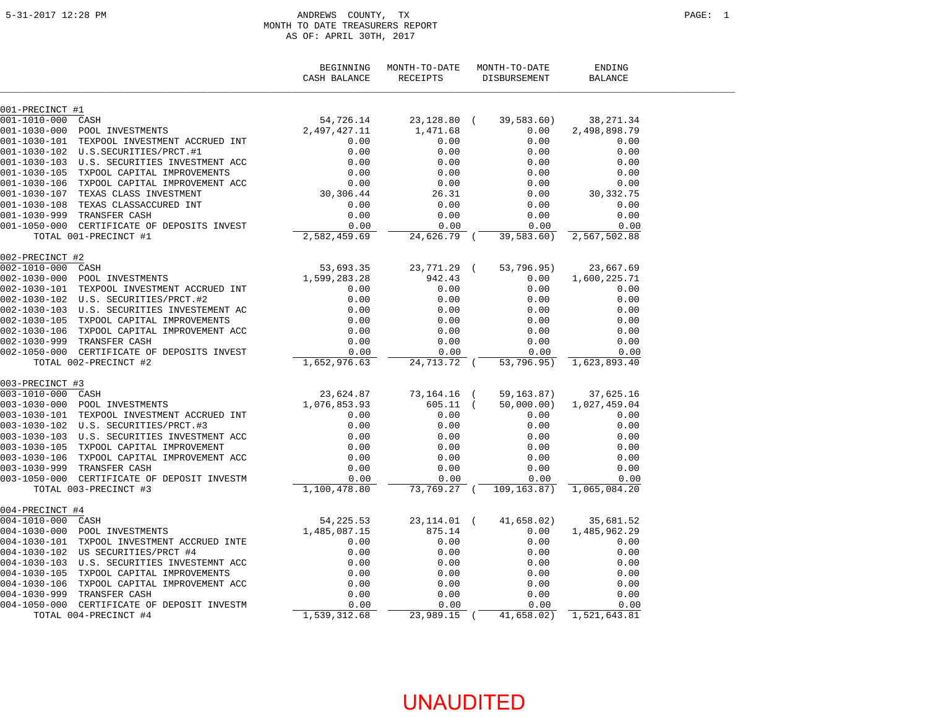#### ANDREWS COUNTY, TX PAGE: 1 MONTH TO DATE TREASURERS REPORT AS OF: APRIL 30TH, 2017

|                   |                                                                       | BEGINNING<br>CASH BALANCE | MONTH-TO-DATE<br>RECEIPTS | MONTH-TO-DATE<br>DISBURSEMENT | ENDING<br><b>BALANCE</b>    |  |
|-------------------|-----------------------------------------------------------------------|---------------------------|---------------------------|-------------------------------|-----------------------------|--|
| 001-PRECINCT #1   |                                                                       |                           |                           |                               |                             |  |
| 001-1010-000 CASH |                                                                       | 54,726.14                 | 23,128.80 (               | 39,583.60)                    | 38,271.34                   |  |
| 001-1030-000      | POOL INVESTMENTS                                                      | 2, 497, 427.11            | 1,471.68                  | 0.00                          | 2,498,898.79                |  |
|                   | 001-1030-101 TEXPOOL INVESTMENT ACCRUED INT                           | 0.00                      | 0.00                      | 0.00                          | 0.00                        |  |
|                   | 001-1030-102 U.S.SECURITIES/PRCT.#1                                   | 0.00                      | 0.00                      | 0.00                          | 0.00                        |  |
|                   | 001-1030-103 U.S. SECURITIES INVESTMENT ACC                           | 0.00                      | 0.00                      | 0.00                          | 0.00                        |  |
|                   | 001-1030-105 TXPOOL CAPITAL IMPROVEMENTS                              | 0.00                      | 0.00                      | 0.00                          | 0.00                        |  |
|                   | 001-1030-106 TXPOOL CAPITAL IMPROVEMENT ACC                           |                           | 0.00                      | 0.00                          | 0.00                        |  |
|                   | 001-1030-107 TEXAS CLASS INVESTMENT                                   | $0.00$<br>30,306.44       | 26.31                     | 0.00                          | 30,332.75                   |  |
|                   | 001-1030-108 TEXAS CLASSACCURED INT                                   | 0.00                      | 0.00                      | 0.00                          | 0.00                        |  |
|                   | 001-1030-999 TRANSFER CASH                                            | 0.00                      | 0.00                      | 0.00                          | 0.00                        |  |
|                   | 001-1050-000 CERTIFICATE OF DEPOSITS INVEST                           | 0.00                      | 0.00                      | 0.00                          | 0.00                        |  |
|                   | TOTAL 001-PRECINCT #1                                                 | 2,582,459.69              | 24,626.79 (               | 39,583.60)                    | 2,567,502.88                |  |
|                   |                                                                       |                           |                           |                               |                             |  |
| 002-PRECINCT #2   |                                                                       |                           |                           |                               |                             |  |
| 002-1010-000 CASH |                                                                       | 53,693.35                 | 23,771.29 (               | 53,796.95)                    | 23,667.69                   |  |
|                   | 002-1030-000 POOL INVESTMENTS                                         | 1,599,283.28              | 942.43                    | 0.00                          | 1,600,225.71                |  |
|                   | 002-1030-101 TEXPOOL INVESTMENT ACCRUED INT                           | 0.00                      | 0.00                      | 0.00                          | 0.00                        |  |
|                   |                                                                       | 0.00                      | 0.00                      | 0.00                          | 0.00                        |  |
|                   | 002-1030-103 U.S. SECURITIES INVESTEMENT AC                           | 0.00                      | 0.00                      | 0.00                          | 0.00                        |  |
|                   | 002-1030-105 TXPOOL CAPITAL IMPROVEMENTS                              | 0.00                      | 0.00                      | 0.00                          | 0.00                        |  |
|                   | 002-1030-106 TXPOOL CAPITAL IMPROVEMENT ACC                           | 0.00                      | 0.00                      | 0.00                          | 0.00                        |  |
|                   | 002-1030-999 TRANSFER CASH                                            | 0.00                      | 0.00                      | 0.00                          | 0.00                        |  |
|                   | 002-1050-000 CERTIFICATE OF DEPOSITS INVEST                           | 0.00                      | 0.00                      | 0.00                          | 0.00                        |  |
|                   | TOTAL 002-PRECINCT #2                                                 | 1,652,976.63              | 24,713.72 (               |                               | 53,796.95) 1,623,893.40     |  |
| 003-PRECINCT #3   |                                                                       |                           |                           |                               |                             |  |
|                   | 003-PRECINCT #3<br>003-1010-000 CASH<br>003-1030-000 POOL INVESTMENTS |                           | 73,164.16 (               | 59,163.87)                    | 37,625.16                   |  |
|                   |                                                                       | 23,624.87<br>1,076,853.93 | $605.11$ (                | 50,000.00)                    | 1,027,459.04                |  |
|                   | 003-1030-101 TEXPOOL INVESTMENT ACCRUED INT                           | 0.00                      | 0.00                      | 0.00                          | 0.00                        |  |
|                   |                                                                       | 0.00                      | 0.00                      | 0.00                          | 0.00                        |  |
|                   | 003-1030-103 U.S. SECURITIES INVESTMENT ACC                           | 0.00                      | 0.00                      | 0.00                          | 0.00                        |  |
|                   | 003-1030-105 TXPOOL CAPITAL IMPROVEMENT                               | 0.00                      | 0.00                      | 0.00                          | 0.00                        |  |
|                   | 003-1030-106 TXPOOL CAPITAL IMPROVEMENT ACC                           | 0.00                      | 0.00                      | 0.00                          | 0.00                        |  |
|                   | 003-1030-999 TRANSFER CASH                                            | 0.00                      | 0.00                      | 0.00                          | 0.00                        |  |
|                   | 003-1050-000 CERTIFICATE OF DEPOSIT INVESTM                           | 0.00                      | 0.00                      | 0.00                          | 0.00                        |  |
|                   | TOTAL 003-PRECINCT #3                                                 | 1,100,478.80              | 73,769.27 (               |                               | 109, 163.87) 1, 065, 084.20 |  |
|                   |                                                                       |                           |                           |                               |                             |  |
| 004-PRECINCT #4   |                                                                       |                           |                           |                               |                             |  |
| 004-1010-000 CASH |                                                                       | 54,225.53                 | $23, 114.01$ (            | 41,658.02)                    | 35,681.52                   |  |
|                   | 004-1030-000 POOL INVESTMENTS                                         | 1,485,087.15              | 875.14                    | 0.00                          | 1,485,962.29                |  |
|                   | 004-1030-101 TXPOOL INVESTMENT ACCRUED INTE                           | 0.00                      | 0.00                      | 0.00                          | 0.00                        |  |
|                   | 004-1030-102 US SECURITIES/PRCT #4                                    | 0.00                      | 0.00                      | 0.00                          | 0.00                        |  |
|                   | 004-1030-103 U.S. SECURITIES INVESTEMNT ACC                           | 0.00                      | 0.00                      | 0.00                          | 0.00                        |  |
|                   | 004-1030-105 TXPOOL CAPITAL IMPROVEMENTS                              | 0.00                      | 0.00                      | 0.00                          | 0.00                        |  |
|                   | 004-1030-106 TXPOOL CAPITAL IMPROVEMENT ACC                           | 0.00                      | 0.00                      | 0.00                          | 0.00                        |  |
|                   | 004-1030-999 TRANSFER CASH                                            | 0.00                      | 0.00                      | 0.00                          | 0.00                        |  |
|                   | 004-1050-000 CERTIFICATE OF DEPOSIT INVESTM                           | 0.00                      | 0.00                      | 0.00                          | 0.00                        |  |
|                   | TOTAL 004-PRECINCT #4                                                 | 1,539,312.68              | 23,989.15 (               | 41,658.02)                    | 1,521,643.81                |  |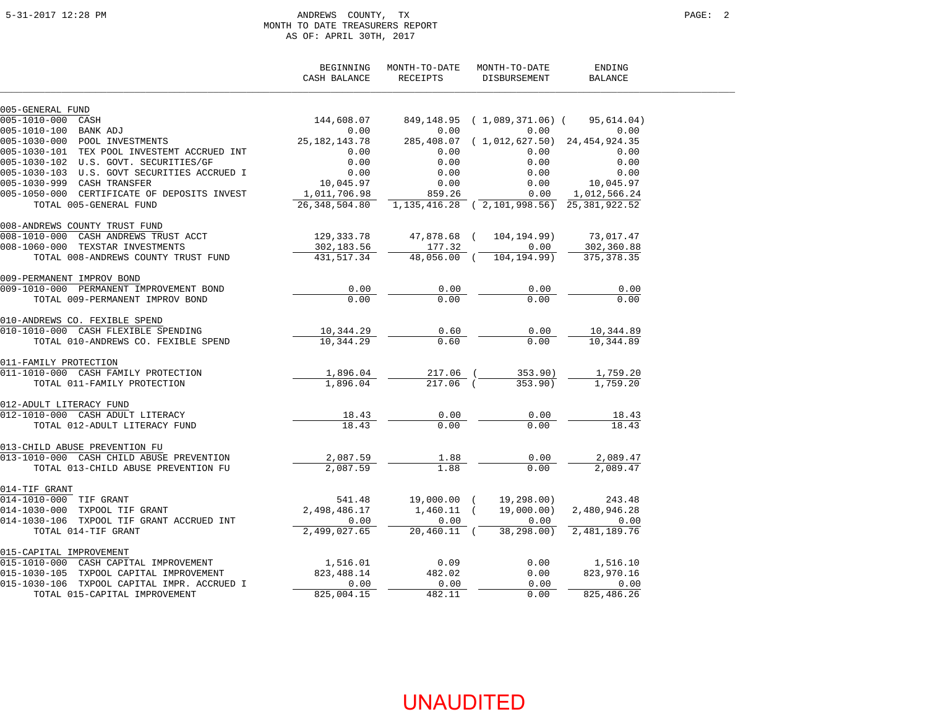#### 5-31-2017 12:28 PM ANDREWS COUNTY, TX PAGE: 2 MONTH TO DATE TREASURERS REPORT AS OF: APRIL 30TH, 2017

|                                                        | BEGINNING<br>CASH BALANCE | MONTH-TO-DATE<br>RECEIPTS | MONTH-TO-DATE<br>DISBURSEMENT        | ENDING<br><b>BALANCE</b> |  |
|--------------------------------------------------------|---------------------------|---------------------------|--------------------------------------|--------------------------|--|
| 005-GENERAL FUND                                       |                           |                           |                                      |                          |  |
| 005-1010-000<br>CASH                                   | 144,608.07                |                           | 849,148.95 (1,089,371.06) (          | 95,614.04)               |  |
| 005-1010-100 BANK ADJ                                  | 0.00                      | 0.00                      | 0.00                                 | 0.00                     |  |
| 005-1010-100 BANK ADJ<br>005-1030-000 POOL INVESTMENTS | 25, 182, 143. 78          | 285,408.07                | $(1, 012, 627, 50)$ 24, 454, 924, 35 |                          |  |
| 005-1030-101 TEX POOL INVESTEMT ACCRUED INT            | 0.00                      | 0.00                      | 0.00                                 | 0.00                     |  |
| 005-1030-102 U.S. GOVT. SECURITIES/GF                  | 0.00                      | 0.00                      | 0.00                                 | 0.00                     |  |
| 005-1030-103 U.S. GOVT SECURITIES ACCRUED I            | 0.00                      | 0.00                      | 0.00                                 | 0.00                     |  |
| 005-1030-999 CASH TRANSFER                             | 10,045.97                 | 0.00                      | 0.00                                 | 10,045.97                |  |
| 005-1050-000 CERTIFICATE OF DEPOSITS INVEST            | 1,011,706.98              | 859.26                    | 0.00                                 | 1,012,566.24             |  |
| TOTAL 005-GENERAL FUND                                 | 26,348,504.80             |                           | 1, 135, 416. 28 (2, 101, 998. 56)    | 25, 381, 922.52          |  |
| 008-ANDREWS COUNTY TRUST FUND                          |                           |                           |                                      |                          |  |
| CASH ANDREWS TRUST ACCT<br>008-1010-000                | 129,333.78                | 47,878.68 (               | 104,194.99)                          | 73,017.47                |  |
| 008-1060-000 TEXSTAR INVESTMENTS                       | 302,183.56                | 177.32                    | 0.00                                 | 302,360.88               |  |
| TOTAL 008-ANDREWS COUNTY TRUST FUND                    | 431,517.34                | 48,056.00 (               | 104,194.99)                          | 375, 378.35              |  |
| 009-PERMANENT IMPROV BOND                              |                           |                           |                                      |                          |  |
| 009-1010-000 PERMANENT IMPROVEMENT BOND                | 0.00                      | 0.00                      | 0.00                                 | 0.00                     |  |
| TOTAL 009-PERMANENT IMPROV BOND                        | 0.00                      | 0.00                      | 0.00                                 | 0.00                     |  |
| 010-ANDREWS CO. FEXIBLE SPEND                          |                           |                           |                                      |                          |  |
| 010-1010-000 CASH FLEXIBLE SPENDING                    | 10,344.29                 | 0.60                      | 0.00                                 | 10,344.89                |  |
| TOTAL 010-ANDREWS CO. FEXIBLE SPEND                    | 10,344.29                 | 0.60                      | 0.00                                 | 10,344.89                |  |
| 011-FAMILY PROTECTION                                  |                           |                           |                                      |                          |  |
| 011-1010-000 CASH FAMILY PROTECTION                    | 1,896.04                  | 217.06 (                  | 353.90)                              | 1,759.20                 |  |
| TOTAL 011-FAMILY PROTECTION                            | 1,896.04                  | $217.06$ (                | 353.90)                              | 1,759.20                 |  |
| 012-ADULT LITERACY FUND                                |                           |                           |                                      |                          |  |
| 012-1010-000 CASH ADULT LITERACY                       | 18.43                     | 0.00                      | 0.00                                 | 18.43                    |  |
| TOTAL 012-ADULT LITERACY FUND                          | 18.43                     | 0.00                      | 0.00                                 | 18.43                    |  |
| 013-CHILD ABUSE PREVENTION FU                          |                           |                           |                                      |                          |  |
| 013-1010-000 CASH CHILD ABUSE PREVENTION               | 2,087.59                  | 1.88                      | 0.00                                 | 2,089.47                 |  |
| TOTAL 013-CHILD ABUSE PREVENTION FU                    | 2,087.59                  | 1.88                      | 0.00                                 | 2,089.47                 |  |
| 014-TIF GRANT                                          |                           |                           |                                      |                          |  |
| 014-1010-000 TIF GRANT                                 | 541.48                    | 19,000.00 (               | 19,298.00)                           | 243.48                   |  |
| 014-1030-000 TXPOOL TIF GRANT                          | 2,498,486.17              | $1,460.11$ (              | 19,000.00)                           | 2,480,946.28             |  |
| 014-1030-106 TXPOOL TIF GRANT ACCRUED INT              | 0.00                      | 0.00                      | 0.00                                 | 0.00                     |  |
| TOTAL 014-TIF GRANT                                    | 2,499,027.65              | $20,460.11$ (             | 38,298.00)                           | 2,481,189.76             |  |
| 015-CAPITAL IMPROVEMENT                                |                           |                           |                                      |                          |  |
| 015-1010-000 CASH CAPITAL IMPROVEMENT                  | 1,516.01                  | 0.09                      | 0.00                                 | 1,516.10                 |  |
| 015-1030-105 TXPOOL CAPITAL IMPROVEMENT                | 823, 488.14               | 482.02                    | 0.00                                 | 823,970.16               |  |
| 015-1030-106 TXPOOL CAPITAL IMPR. ACCRUED I            | 0.00                      | 0.00                      | 0.00                                 | 0.00                     |  |
| TOTAL 015-CAPITAL IMPROVEMENT                          | 825,004.15                | 482.11                    | 0.00                                 | 825,486.26               |  |
|                                                        |                           |                           |                                      |                          |  |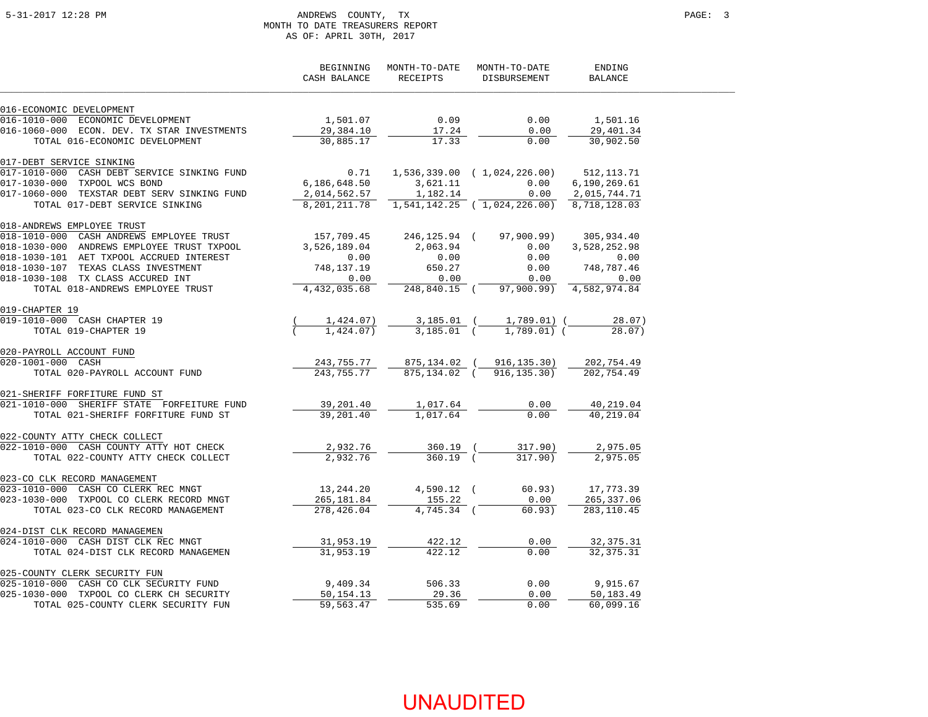#### 5-31-2017 12:28 PM ANDREWS COUNTY, TX PAGE: 3 MONTH TO DATE TREASURERS REPORT AS OF: APRIL 30TH, 2017

|                                                                                                                                                                     | BEGINNING<br>CASH BALANCE | RECEIPTS     | MONTH-TO-DATE MONTH-TO-DATE<br>DISBURSEMENT | ENDING<br>BALANCE     |  |
|---------------------------------------------------------------------------------------------------------------------------------------------------------------------|---------------------------|--------------|---------------------------------------------|-----------------------|--|
| 016-ECONOMIC DEVELOPMENT                                                                                                                                            |                           |              |                                             |                       |  |
| 016-1010-000 ECONOMIC DEVELOPMENT                                                                                                                                   | 1,501.07                  | 0.09         | 0.00                                        | 1,501.16              |  |
| 016-1060-000 ECON. DEV. TX STAR INVESTMENTS                                                                                                                         | 29,384.10                 | 17.24        | 0.00                                        | 29,401.34             |  |
| TOTAL 016-ECONOMIC DEVELOPMENT                                                                                                                                      | 30,885.17                 | 17.33        | 0.00                                        | 30,902.50             |  |
| 017-DEBT SERVICE SINKING                                                                                                                                            |                           |              |                                             |                       |  |
| 017-1010-000 CASH DEBT SERVICE SINKING FUND                                                                                                                         | 0.71                      |              | 1,536,339.00 (1,024,226.00) 512,113.71      |                       |  |
| 017-1030-000 TXPOOL WCS BOND                                                                                                                                        | 6,186,648.50              |              | 3,621.11 0.00                               | 6,190,269.61          |  |
| 017-1060-000 TEXSTAR DEBT SERV SINKING FUND                                                                                                                         | 2,014,562.57              | 1,182.14     | 0.00                                        | 2,015,744.71          |  |
| TOTAL 017-DEBT SERVICE SINKING                                                                                                                                      | 8, 201, 211.78            |              | $1,541,142.25$ (1,024,226.00)               | 8,718,128.03          |  |
| 018-ANDREWS EMPLOYEE TRUST                                                                                                                                          |                           |              |                                             |                       |  |
| 018-1010-000 CASH ANDREWS EMPLOYEE TRUST                                                                                                                            | 157,709.45                | 246,125.94 ( |                                             | 97,900.99) 305,934.40 |  |
| 018-1030-000 ANDREWS EMPLOYEE TRUST TXPOOL                                                                                                                          | 3,526,189.04              | 2,063.94     | 0.00                                        | 3,528,252.98          |  |
| 018-1030-101 AET TXPOOL ACCRUED INTEREST                                                                                                                            | 0.00                      | 0.00         | 0.00                                        | 0.00                  |  |
| 018-1030-107 TEXAS CLASS INVESTMENT                                                                                                                                 | 748,137.19                | 650.27       | 0.00                                        | 748,787.46            |  |
| 018-1030-108 TX CLASS ACCURED INT                                                                                                                                   | 0.00                      | 0.00         | 0.00                                        | 0.00                  |  |
| TOTAL 018-ANDREWS EMPLOYEE TRUST                                                                                                                                    | 4, 432, 035.68            |              | 248,840.15 (97,900.99) 4,582,974.84         |                       |  |
| 019-CHAPTER 19                                                                                                                                                      |                           |              |                                             |                       |  |
| 019-1010-000 CASH CHAPTER 19                                                                                                                                        | 1,424.07)                 |              | 3,185.01 ( 1,789.01) (                      | 28.07)                |  |
| TOTAL 019-CHAPTER 19                                                                                                                                                | $1,424.07$ )              | $3,185.01$ ( | $1,789.01)$ (                               | 28.07)                |  |
| 020-PAYROLL ACCOUNT FUND                                                                                                                                            |                           |              |                                             |                       |  |
| 020-1001-000 CASH                                                                                                                                                   | 243,755.77                |              | 875,134.02 (916,135.30)                     | 202,754.49            |  |
| TOTAL 020-PAYROLL ACCOUNT FUND                                                                                                                                      | 243,755.77                |              | 875,134.02 (916,135.30)                     | 202,754.49            |  |
| 021-SHERIFF FORFITURE FUND ST                                                                                                                                       |                           |              |                                             |                       |  |
| 021-1010-000 SHERIFF STATE FORFEITURE FUND                                                                                                                          | 39,201.40                 | 1,017.64     | 0.00                                        | 40,219.04             |  |
| TOTAL 021-SHERIFF FORFITURE FUND ST                                                                                                                                 | 39,201.40                 | 1,017.64     | 0.00                                        | 40,219.04             |  |
| 022-COUNTY ATTY CHECK COLLECT                                                                                                                                       |                           |              |                                             |                       |  |
| 022-1010-000 CASH COUNTY ATTY HOT CHECK                                                                                                                             | 2,932.76                  | 360.19 (     | 317.90)                                     | 2,975.05              |  |
| TOTAL 022-COUNTY ATTY CHECK COLLECT                                                                                                                                 | 2,932.76                  | $360.19$ (   | 317.90)                                     | 2,975.05              |  |
| 023-CO CLK RECORD MANAGEMENT                                                                                                                                        |                           |              |                                             |                       |  |
| 023-1010-000 CASH CO CLERK REC MNGT                                                                                                                                 | 13,244.20                 | 4,590.12 (   | 60.93)                                      | 17,773.39             |  |
| 023-1030-000 TXPOOL CO CLERK RECORD MNGT                                                                                                                            | 265,181.84                | 155.22       | 0.00                                        | 265, 337.06           |  |
| TOTAL 023-CO CLK RECORD MANAGEMENT                                                                                                                                  | 278,426.04                | 4,745.34 (   | 60.93)                                      | 283, 110.45           |  |
| 024-DIST CLK RECORD MANAGEMEN                                                                                                                                       |                           |              |                                             |                       |  |
| 024-1010-000 CASH DIST CLK REC MNGT                                                                                                                                 | 31,953.19                 | 422.12       | 0.00                                        | 32, 375. 31           |  |
| TOTAL 024-DIST CLK RECORD MANAGEMEN                                                                                                                                 | 31,953.19                 | 422.12       | 0.00                                        | 32, 375. 31           |  |
| 025-COUNTY CLERK SECURITY FUN                                                                                                                                       |                           |              |                                             |                       |  |
|                                                                                                                                                                     | 9,409.34                  | 506.33       | 0.00                                        | 9,915.67              |  |
| 025-1010-000 CASH CO CLK SECURITY FUND<br>025-1010-000 CASH CO CLK SECURITY FUND<br>025-1030-000 TXPOOL CO CLERK CH SECURITY<br>TOTAL 025-COUNTY CLERK SECURITY FUN | 50,154.13                 | 29.36        | 0.00                                        | 50,183.49             |  |
|                                                                                                                                                                     | 59,563.47                 | 535.69       | 0.00                                        | 60,099.16             |  |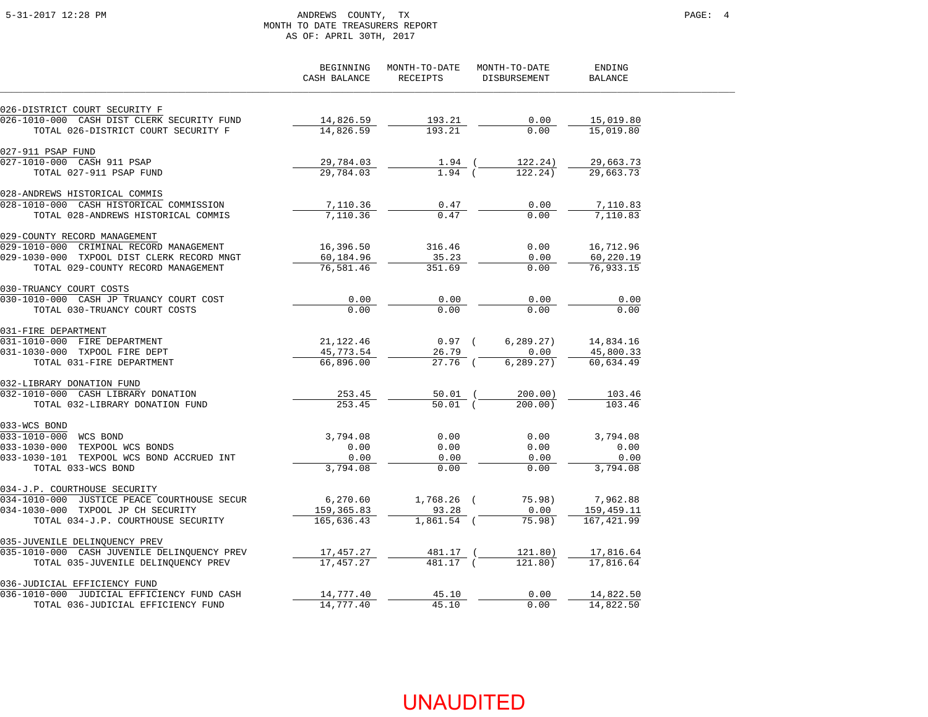### 5-31-2017 12:28 PM ANDREWS COUNTY, TX PAGE: 4 MONTH TO DATE TREASURERS REPORT AS OF: APRIL 30TH, 2017

|                                             | BEGINNING<br>CASH BALANCE | MONTH-TO-DATE<br>RECEIPTS | MONTH-TO-DATE<br>DISBURSEMENT | ENDING<br><b>BALANCE</b> |  |
|---------------------------------------------|---------------------------|---------------------------|-------------------------------|--------------------------|--|
| 026-DISTRICT COURT SECURITY F               |                           |                           |                               |                          |  |
| 026-1010-000 CASH DIST CLERK SECURITY FUND  | 14,826.59                 | 193.21                    | 0.00                          | 15,019.80                |  |
| TOTAL 026-DISTRICT COURT SECURITY F         | 14,826.59                 | 193.21                    | 0.00                          | 15,019.80                |  |
| 027-911 PSAP FUND                           |                           |                           |                               |                          |  |
| 027-1010-000 CASH 911 PSAP                  | 29,784.03                 | $1.94$ (                  | 122.24)                       | 29,663.73                |  |
| TOTAL 027-911 PSAP FUND                     | 29,784.03                 | $1.94$ $($                | 122.24)                       | 29,663.73                |  |
| 028-ANDREWS HISTORICAL COMMIS               |                           |                           |                               |                          |  |
| 028-1010-000 CASH HISTORICAL COMMISSION     | 7,110.36                  | 0.47                      | 0.00                          | 7,110.83                 |  |
| TOTAL 028-ANDREWS HISTORICAL COMMIS         | 7,110.36                  | 0.47                      | 0.00                          | 7,110.83                 |  |
| 029-COUNTY RECORD MANAGEMENT                |                           |                           |                               |                          |  |
| 029-1010-000 CRIMINAL RECORD MANAGEMENT     | 16,396.50                 | 316.46                    | 0.00                          | 16,712.96                |  |
| 029-1030-000 TXPOOL DIST CLERK RECORD MNGT  | 60,184.96                 | 35.23                     | 0.00                          | 60,220.19                |  |
| TOTAL 029-COUNTY RECORD MANAGEMENT          | 76,581.46                 | 351.69                    | 0.00                          | 76,933.15                |  |
| 030-TRUANCY COURT COSTS                     |                           |                           |                               |                          |  |
| 030-1010-000 CASH JP TRUANCY COURT COST     | 0.00                      | 0.00                      | 0.00                          | 0.00                     |  |
| TOTAL 030-TRUANCY COURT COSTS               | 0.00                      | 0.00                      | 0.00                          | 0.00                     |  |
| 031-FIRE DEPARTMENT                         |                           |                           |                               |                          |  |
| 031-1010-000 FIRE DEPARTMENT                | 21,122.46                 | $0.97$ (                  | 6, 289.27)                    | 14,834.16                |  |
| 031-1030-000 TXPOOL FIRE DEPT               | 45,773.54                 | 26.79                     | 0.00                          | 45,800.33                |  |
| TOTAL 031-FIRE DEPARTMENT                   | 66,896.00                 | 27.76 (                   | 6, 289.27)                    | 60,634.49                |  |
| 032-LIBRARY DONATION FUND                   |                           |                           |                               |                          |  |
| 032-1010-000 CASH LIBRARY DONATION          | 253.45                    | 50.01 (                   | 200.00)                       | 103.46                   |  |
| TOTAL 032-LIBRARY DONATION FUND             | 253.45                    | $50.01$ (                 | 200.00                        | 103.46                   |  |
| 033-WCS BOND                                |                           |                           |                               |                          |  |
| 033-1010-000 WCS BOND                       | 3,794.08                  | 0.00                      | 0.00                          | 3,794.08                 |  |
| 033-1030-000 TEXPOOL WCS BONDS              | 0.00                      | 0.00                      | 0.00                          | 0.00                     |  |
| 033-1030-101 TEXPOOL WCS BOND ACCRUED INT   | 0.00                      | 0.00                      | 0.00                          | 0.00                     |  |
| TOTAL 033-WCS BOND                          | 3,794.08                  | 0.00                      | 0.00                          | 3,794.08                 |  |
| 034-J.P. COURTHOUSE SECURITY                |                           |                           |                               |                          |  |
| 034-1010-000 JUSTICE PEACE COURTHOUSE SECUR | 6,270.60                  | $1,768.26$ (              | 75.98)                        | 7,962.88                 |  |
| 034-1030-000 TXPOOL JP CH SECURITY          | 159,365.83                | 93.28                     | 0.00                          | 159,459.11               |  |
| TOTAL 034-J.P. COURTHOUSE SECURITY          | 165,636.43                | $1,861.54$ (              | 75.98)                        | 167,421.99               |  |
| 035-JUVENILE DELINQUENCY PREV               |                           |                           |                               |                          |  |
| 035-1010-000 CASH JUVENILE DELINQUENCY PREV | 17,457.27                 | 481.17 (                  | 121.80)                       | 17,816.64                |  |
| TOTAL 035-JUVENILE DELINQUENCY PREV         | 17,457.27                 | 481.17 (                  | 121.80)                       | 17,816.64                |  |
| 036-JUDICIAL EFFICIENCY FUND                |                           |                           |                               |                          |  |
| 036-1010-000 JUDICIAL EFFICIENCY FUND CASH  | 14,777.40                 | 45.10                     | 0.00                          | 14,822.50                |  |
| TOTAL 036-JUDICIAL EFFICIENCY FUND          | 14,777.40                 | 45.10                     | 0.00                          | 14,822.50                |  |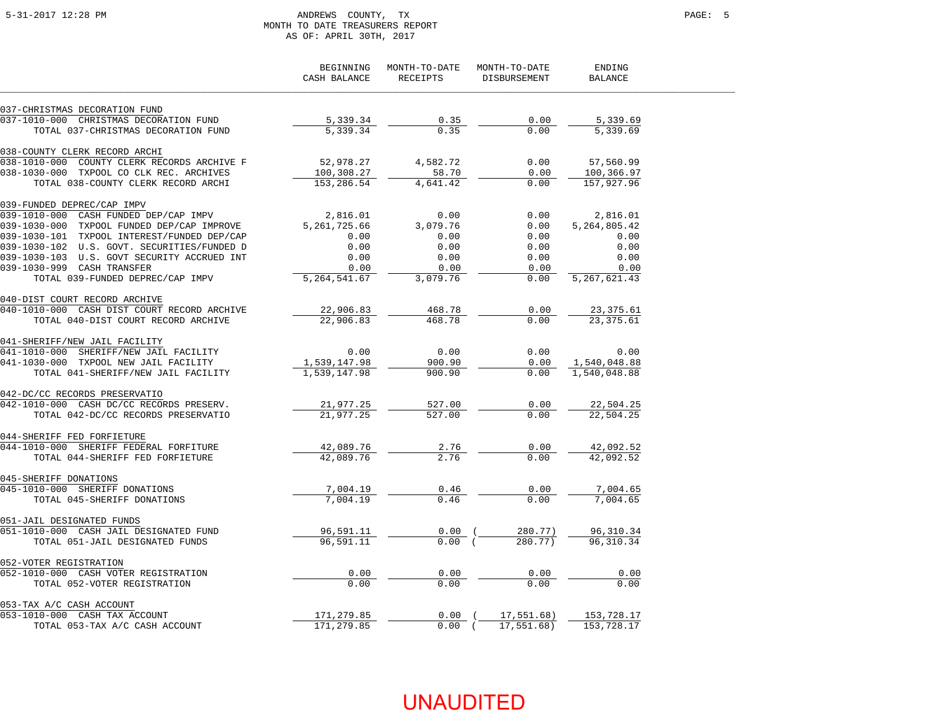#### 5-31-2017 12:28 PM ANDREWS COUNTY, TX PAGE: 5 MONTH TO DATE TREASURERS REPORT AS OF: APRIL 30TH, 2017

|                                                      | BEGINNING<br>CASH BALANCE | MONTH-TO-DATE<br><b>RECEIPTS</b> | MONTH-TO-DATE<br>DISBURSEMENT | ENDING<br><b>BALANCE</b> |  |
|------------------------------------------------------|---------------------------|----------------------------------|-------------------------------|--------------------------|--|
| 037-CHRISTMAS DECORATION FUND                        |                           |                                  |                               |                          |  |
| 037-1010-000 CHRISTMAS DECORATION FUND               | 5,339.34                  | 0.35                             | 0.00                          | 5,339.69                 |  |
| TOTAL 037-CHRISTMAS DECORATION FUND                  | 5,339.34                  | 0.35                             | 0.00                          | 5,339.69                 |  |
| 038-COUNTY CLERK RECORD ARCHI                        |                           |                                  |                               |                          |  |
| COUNTY CLERK RECORDS ARCHIVE F<br>$038 - 1010 - 000$ | 52,978.27                 | 4,582.72                         | 0.00                          | 57,560.99                |  |
| 038-1030-000 TXPOOL CO CLK REC. ARCHIVES             | 100,308.27                | 58.70                            | 0.00                          | 100,366.97               |  |
| TOTAL 038-COUNTY CLERK RECORD ARCHI                  | 153,286.54                | 4,641.42                         | 0.00                          | 157,927.96               |  |
| 039-FUNDED DEPREC/CAP IMPV                           |                           |                                  |                               |                          |  |
| 039-1010-000 CASH FUNDED DEP/CAP IMPV                | 2,816.01                  | 0.00                             | 0.00                          | 2,816.01                 |  |
| 039-1030-000 TXPOOL FUNDED DEP/CAP IMPROVE           | 5, 261, 725.66            | 3,079.76                         | 0.00                          | 5, 264, 805. 42          |  |
| 039-1030-101 TXPOOL INTEREST/FUNDED DEP/CAP          | 0.00                      | 0.00                             | 0.00                          | 0.00                     |  |
| 039-1030-102 U.S. GOVT. SECURITIES/FUNDED D          | 0.00                      | 0.00                             | 0.00                          | 0.00                     |  |
| 039-1030-103 U.S. GOVT SECURITY ACCRUED INT          | 0.00                      | 0.00                             | 0.00                          | 0.00                     |  |
| 039-1030-999 CASH TRANSFER                           | 0.00                      | 0.00                             | 0.00                          | 0.00                     |  |
| TOTAL 039-FUNDED DEPREC/CAP IMPV                     | 5, 264, 541.67            | 3,079.76                         | 0.00                          | 5, 267, 621.43           |  |
| 040-DIST COURT RECORD ARCHIVE                        |                           |                                  |                               |                          |  |
| 040-1010-000 CASH DIST COURT RECORD ARCHIVE          | 22,906.83                 | 468.78                           | 0.00                          | 23,375.61                |  |
| TOTAL 040-DIST COURT RECORD ARCHIVE                  | 22,906.83                 | 468.78                           | 0.00                          | 23, 375.61               |  |
| 041-SHERIFF/NEW JAIL FACILITY                        |                           |                                  |                               |                          |  |
| 041-1010-000 SHERIFF/NEW JAIL FACILITY               | 0.00                      | 0.00                             | 0.00                          | 0.00                     |  |
| 041-1030-000 TXPOOL NEW JAIL FACILITY                | 1,539,147.98              | 900.90                           | 0.00                          | 1,540,048.88             |  |
| TOTAL 041-SHERIFF/NEW JAIL FACILITY                  | 1,539,147.98              | 900.90                           | 0.00                          | 1,540,048.88             |  |
| 042-DC/CC RECORDS PRESERVATIO                        |                           |                                  |                               |                          |  |
| 042-1010-000 CASH DC/CC RECORDS PRESERV.             | 21,977.25                 | 527.00                           | 0.00                          | 22,504.25                |  |
| TOTAL 042-DC/CC RECORDS PRESERVATIO                  | 21,977.25                 | 527.00                           | 0.00                          | 22,504.25                |  |
| 044-SHERIFF FED FORFIETURE                           |                           |                                  |                               |                          |  |
| 044-1010-000 SHERIFF FEDERAL FORFITURE               | 42,089.76                 | 2.76                             | 0.00                          | 42,092.52                |  |
| TOTAL 044-SHERIFF FED FORFIETURE                     | 42,089.76                 | 2.76                             | 0.00                          | 42,092.52                |  |
| 045-SHERIFF DONATIONS                                |                           |                                  |                               |                          |  |
| 045-1010-000 SHERIFF DONATIONS                       | 7,004.19                  | 0.46                             | 0.00                          | 7,004.65                 |  |
| TOTAL 045-SHERIFF DONATIONS                          | 7,004.19                  | 0.46                             | 0.00                          | 7,004.65                 |  |
| 051-JAIL DESIGNATED FUNDS                            |                           |                                  |                               |                          |  |
| 051-1010-000 CASH JAIL DESIGNATED FUND               | 96,591.11                 | $0.00$ (                         | 280.77)                       | 96,310.34                |  |
| TOTAL 051-JAIL DESIGNATED FUNDS                      | 96,591.11                 | $0.00$ (                         | 280.77)                       | 96, 310. 34              |  |
| 052-VOTER REGISTRATION                               |                           |                                  |                               |                          |  |
| 052-1010-000 CASH VOTER REGISTRATION                 | 0.00                      | 0.00                             | 0.00                          | 0.00                     |  |
| TOTAL 052-VOTER REGISTRATION                         | 0.00                      | 0.00                             | 0.00                          | 0.00                     |  |
| 053-TAX A/C CASH ACCOUNT                             |                           |                                  |                               |                          |  |
| 053-1010-000 CASH TAX ACCOUNT                        | 171,279.85                | $0.00$ (                         | 17,551.68)                    | 153,728.17               |  |
| TOTAL 053-TAX A/C CASH ACCOUNT                       | 171, 279.85               | $0.00$ (                         | 17,551.68)                    | 153,728.17               |  |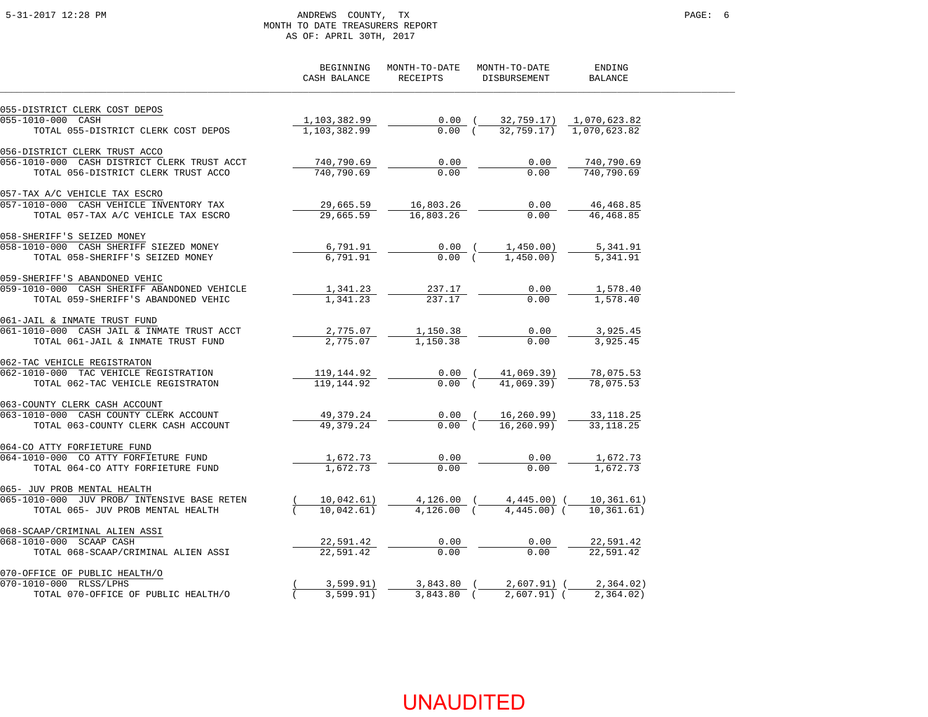### 5-31-2017 12:28 PM ANDREWS COUNTY, TX PAGE: 6 MONTH TO DATE TREASURERS REPORT AS OF: APRIL 30TH, 2017

|                                                                               | BEGINNING<br>CASH BALANCE | MONTH-TO-DATE<br>RECEIPTS | MONTH-TO-DATE<br><b>DISBURSEMENT</b> | ENDING<br><b>BALANCE</b> |
|-------------------------------------------------------------------------------|---------------------------|---------------------------|--------------------------------------|--------------------------|
| 055-DISTRICT CLERK COST DEPOS                                                 |                           |                           |                                      |                          |
| 055-1010-000 CASH                                                             | 1,103,382.99              | $0.00$ (                  | 32,759.17)                           | 1,070,623.82             |
| TOTAL 055-DISTRICT CLERK COST DEPOS                                           | 1,103,382.99              | 0.00(                     | 32,759.17)                           | 1,070,623.82             |
| 056-DISTRICT CLERK TRUST ACCO                                                 |                           |                           |                                      |                          |
| 056-1010-000 CASH DISTRICT CLERK TRUST ACCT                                   | 740,790.69                | 0.00                      | 0.00                                 | 740,790.69               |
| TOTAL 056-DISTRICT CLERK TRUST ACCO                                           | 740,790.69                | 0.00                      | 0.00                                 | 740,790.69               |
| 057-TAX A/C VEHICLE TAX ESCRO                                                 |                           |                           |                                      |                          |
| 057-1010-000 CASH VEHICLE INVENTORY TAX                                       | 29,665.59                 | 16,803.26                 | 0.00                                 | 46, 468.85               |
| TOTAL 057-TAX A/C VEHICLE TAX ESCRO                                           | 29,665.59                 | 16,803.26                 | 0.00                                 | 46, 468.85               |
| 058-SHERIFF'S SEIZED MONEY                                                    |                           |                           |                                      |                          |
| 058-1010-000 CASH SHERIFF SIEZED MONEY                                        | 6,791.91                  | $0.00$ (<br>$0.00$ (      | 1,450.00)<br>1,450.00                | 5,341.91                 |
| TOTAL 058-SHERIFF'S SEIZED MONEY                                              | 6,791.91                  |                           |                                      | 5,341.91                 |
| 059-SHERIFF'S ABANDONED VEHIC<br>059-1010-000 CASH SHERIFF ABANDONED VEHICLE  |                           | 237.17                    | 0.00                                 | 1,578.40                 |
| TOTAL 059-SHERIFF'S ABANDONED VEHIC                                           | 1,341.23<br>1,341.23      | 237.17                    | 0.00                                 | 1,578.40                 |
| 061-JAIL & INMATE TRUST FUND<br>061-1010-000 CASH JAIL & INMATE TRUST ACCT    | 2,775.07                  | 1,150.38                  | 0.00                                 | 3,925.45                 |
| TOTAL 061-JAIL & INMATE TRUST FUND                                            | 2,775.07                  | 1,150.38                  | 0.00                                 | 3,925.45                 |
| 062-TAC VEHICLE REGISTRATON<br>062-1010-000 TAC VEHICLE REGISTRATION          | 119,144.92                | $0.00$ (                  | 41,069.39)                           | 78,075.53                |
| TOTAL 062-TAC VEHICLE REGISTRATON                                             | 119, 144, 92              | 0.00(                     | 41,069,39)                           | 78,075.53                |
| 063-COUNTY CLERK CASH ACCOUNT                                                 |                           |                           |                                      |                          |
| 063-1010-000 CASH COUNTY CLERK ACCOUNT<br>TOTAL 063-COUNTY CLERK CASH ACCOUNT | 49,379.24<br>49, 379, 24  | $0.00$ (<br>0.00(         | 16,260.99)<br>16, 260, 99)           | 33, 118.25<br>33, 118.25 |
|                                                                               |                           |                           |                                      |                          |
| 064-CO ATTY FORFIETURE FUND<br>064-1010-000 CO ATTY FORFIETURE FUND           |                           | 0.00                      | 0.00                                 | 1,672.73                 |
| TOTAL 064-CO ATTY FORFIETURE FUND                                             | 1,672.73<br>1,672.73      | 0.00                      | 0.00                                 | 1.672.73                 |
|                                                                               |                           |                           |                                      |                          |
| 065- JUV PROB MENTAL HEALTH<br>065-1010-000 JUV PROB/ INTENSIVE BASE RETEN    | 10,042.61)                | $4,126.00$ (              | 4,445.00) (                          | 10,361.61)               |
| TOTAL 065- JUV PROB MENTAL HEALTH                                             | 10.042.61)                | $4.126.00$ (              | $4.445.00$ (                         | 10, 361, 61)             |
|                                                                               |                           |                           |                                      |                          |
| 068-SCAAP/CRIMINAL ALIEN ASSI<br>068-1010-000 SCAAP CASH                      |                           |                           | 0.00                                 | 22,591.42                |
| TOTAL 068-SCAAP/CRIMINAL ALIEN ASSI                                           | 22,591.42<br>22,591.42    | 0.00<br>0.00              | 0.00                                 | 22.591.42                |
|                                                                               |                           |                           |                                      |                          |
| 070-OFFICE OF PUBLIC HEALTH/O<br>070-1010-000 RLSS/LPHS                       | 3,599.91)                 | $3,843.80$ (              | $2,607.91)$ (                        | 2,364.02)                |
| TOTAL 070-OFFICE OF PUBLIC HEALTH/O                                           | 3,599.91)                 | $3,843.80$ (              | $2,607.91)$ (                        | 2, 364.02)               |
|                                                                               |                           |                           |                                      |                          |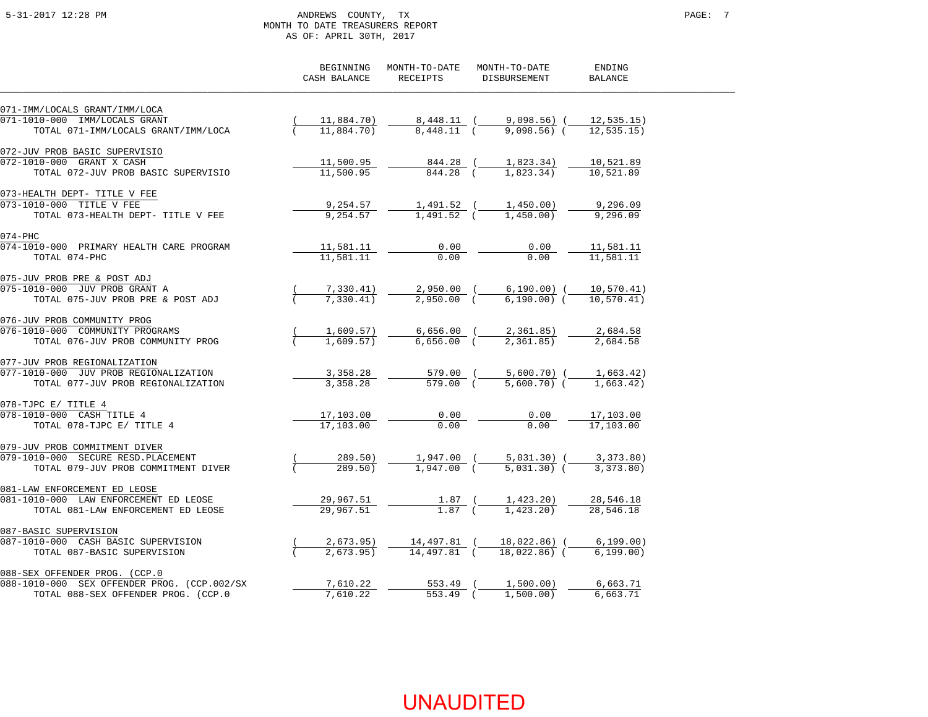### 5-31-2017 12:28 PM ANDREWS COUNTY, TX PAGE: 7 MONTH TO DATE TREASURERS REPORT AS OF: APRIL 30TH, 2017

|                                             | BEGINNING<br>CASH BALANCE | MONTH-TO-DATE<br>RECEIPTS | MONTH-TO-DATE<br>DISBURSEMENT     | ENDING<br><b>BALANCE</b> |
|---------------------------------------------|---------------------------|---------------------------|-----------------------------------|--------------------------|
| 071-IMM/LOCALS GRANT/IMM/LOCA               |                           |                           |                                   |                          |
| 071-1010-000 IMM/LOCALS GRANT               | 11,884.70)                | 8,448.11 (                | 9,098.56) (                       | 12, 535.15)              |
| TOTAL 071-IMM/LOCALS GRANT/IMM/LOCA         | 11,884.70)                | 8,448.11 (                | $9,098.56$ (                      | 12, 535, 15)             |
| 072-JUV PROB BASIC SUPERVISIO               |                           |                           |                                   |                          |
| 072-1010-000 GRANT X CASH                   | 11,500.95                 | 844.28 (                  | 1,823.34)                         | 10,521.89                |
| TOTAL 072-JUV PROB BASIC SUPERVISIO         | 11,500.95                 | 844.28 (                  | 1,823.34)                         | 10,521.89                |
| 073-HEALTH DEPT- TITLE V FEE                |                           |                           |                                   |                          |
| 073-1010-000 TITLE V FEE                    | 9,254.57                  | 1,491.52 (                | 1,450.00)                         | 9,296.09                 |
| TOTAL 073-HEALTH DEPT- TITLE V FEE          | 9,254.57                  | 1,491.52 (                | 1,450,00)                         | 9,296.09                 |
| $074 - PHC$                                 |                           |                           |                                   |                          |
| 074-1010-000 PRIMARY HEALTH CARE PROGRAM    | 11,581.11                 | 0.00                      | 0.00                              | 11,581.11                |
| TOTAL 074-PHC                               | 11,581.11                 | 0.00                      | 0.00                              | 11.581.11                |
| 075-JUV PROB PRE & POST ADJ                 |                           |                           |                                   |                          |
| 075-1010-000 JUV PROB GRANT A               | 7,330.41)                 |                           | 2,950.00 ( 6,190.00) ( 10,570.41) |                          |
| TOTAL 075-JUV PROB PRE & POST ADJ           | 7,330.41)                 | $2,950.00$ (              | $6,190.00)$ (                     | 10.570.41)               |
| 076-JUV PROB COMMUNITY PROG                 |                           |                           |                                   |                          |
| 076-1010-000 COMMUNITY PROGRAMS             | 1,609.57)                 |                           | 6,656.00 ( 2,361.85)              | 2,684.58                 |
| TOTAL 076-JUV PROB COMMUNITY PROG           | 1,609.57)                 | $6,656.00$ (              | 2,361.85)                         | 2,684.58                 |
| 077-JUV PROB REGIONALIZATION                |                           |                           |                                   |                          |
| 077-1010-000 JUV PROB REGIONALIZATION       | 3,358.28                  |                           | 579.00 ( 5,600.70) (              | 1,663.42)                |
| TOTAL 077-JUV PROB REGIONALIZATION          | 3,358.28                  | $579.00$ (                | $5,600.70$ (                      | 1,663.42)                |
| 078-TJPC E/ TITLE 4                         |                           |                           |                                   |                          |
| 078-1010-000 CASH TITLE 4                   | 17,103.00                 | 0.00                      | 0.00                              | 17,103.00                |
| TOTAL 078-TJPC E/ TITLE 4                   | 17,103.00                 | 0.00                      | 0.00                              | 17,103.00                |
| 079-JUV PROB COMMITMENT DIVER               |                           |                           |                                   |                          |
| 079-1010-000 SECURE RESD. PLACEMENT         | 289.50)                   |                           | 1,947.00 ( 5,031.30) (            | 3,373.80)                |
| TOTAL 079-JUV PROB COMMITMENT DIVER         | 289.50                    | 1,947.00 (                | $5.031.30$ (                      | 3, 373, 80)              |
| 081-LAW ENFORCEMENT ED LEOSE                |                           |                           |                                   |                          |
| 081-1010-000 LAW ENFORCEMENT ED LEOSE       | 29,967.51                 | $1.87$ (                  | 1,423.20)                         | 28,546.18                |
| TOTAL 081-LAW ENFORCEMENT ED LEOSE          | 29,967.51                 | $1.87$ (                  | 1,423,20)                         | 28,546.18                |
| 087-BASIC SUPERVISION                       |                           |                           |                                   |                          |
| 087-1010-000 CASH BASIC SUPERVISION         | 2,673.95)                 | 14,497.81 (               | 18,022.86) (                      | 6, 199.00)               |
| TOTAL 087-BASIC SUPERVISION                 | 2.673.95                  | 14,497.81 (               | 18,022,86) (                      | 6, 199, 00)              |
| 088-SEX OFFENDER PROG. (CCP.0               |                           |                           |                                   |                          |
| 088-1010-000 SEX OFFENDER PROG. (CCP.002/SX | 7,610.22                  | 553.49 (                  | 1,500.00)                         | 6,663.71                 |
| TOTAL 088-SEX OFFENDER PROG. (CCP.0         | 7,610.22                  | $553.49$ (                | 1,500.00)                         | 6,663.71                 |